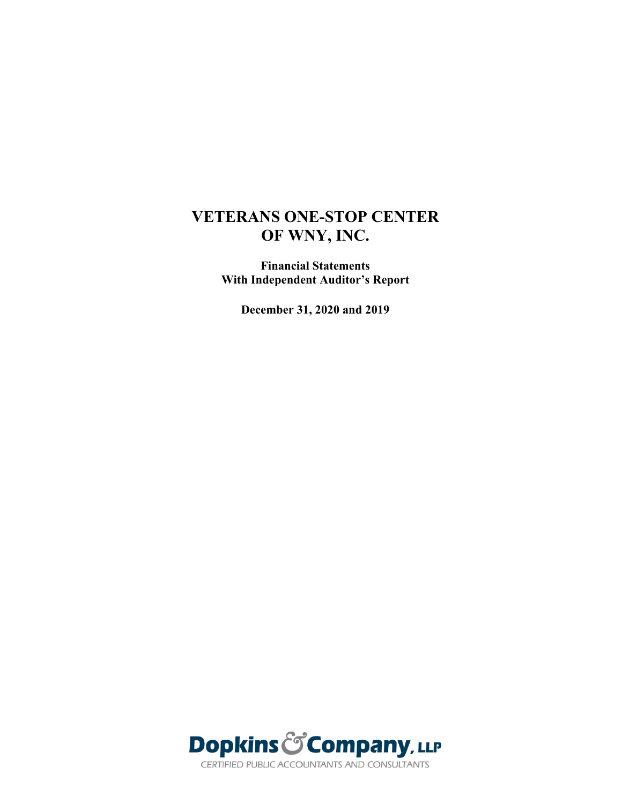**Financial Statements With Independent Auditor's Report**

**December 31, 2020 and 2019**

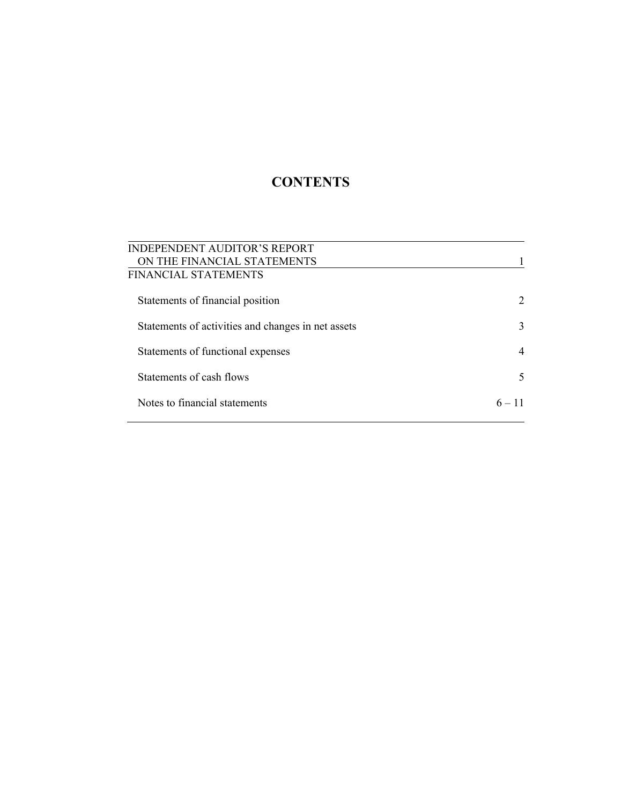# **CONTENTS**

| <b>INDEPENDENT AUDITOR'S REPORT</b>                |          |
|----------------------------------------------------|----------|
| ON THE FINANCIAL STATEMENTS                        |          |
| FINANCIAL STATEMENTS                               |          |
| Statements of financial position                   | 2        |
| Statements of activities and changes in net assets | 3        |
| Statements of functional expenses                  |          |
| Statements of cash flows                           | 5        |
| Notes to financial statements                      | $6 - 11$ |
|                                                    |          |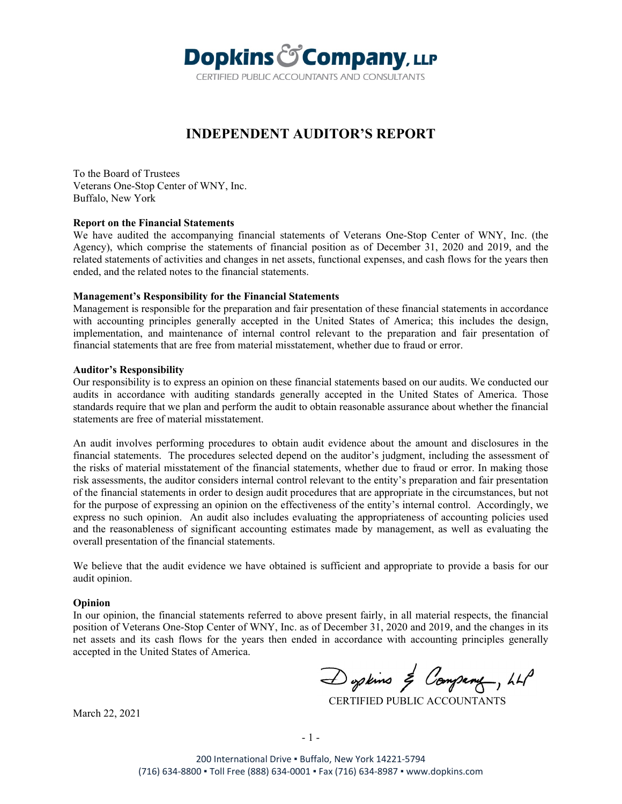

## **INDEPENDENT AUDITOR'S REPORT**

To the Board of Trustees Veterans One-Stop Center of WNY, Inc. Buffalo, New York

#### **Report on the Financial Statements**

We have audited the accompanying financial statements of Veterans One-Stop Center of WNY, Inc. (the Agency), which comprise the statements of financial position as of December 31, 2020 and 2019, and the related statements of activities and changes in net assets, functional expenses, and cash flows for the years then ended, and the related notes to the financial statements.

#### **Management's Responsibility for the Financial Statements**

Management is responsible for the preparation and fair presentation of these financial statements in accordance with accounting principles generally accepted in the United States of America; this includes the design, implementation, and maintenance of internal control relevant to the preparation and fair presentation of financial statements that are free from material misstatement, whether due to fraud or error.

#### **Auditor's Responsibility**

Our responsibility is to express an opinion on these financial statements based on our audits. We conducted our audits in accordance with auditing standards generally accepted in the United States of America. Those standards require that we plan and perform the audit to obtain reasonable assurance about whether the financial statements are free of material misstatement.

An audit involves performing procedures to obtain audit evidence about the amount and disclosures in the financial statements. The procedures selected depend on the auditor's judgment, including the assessment of the risks of material misstatement of the financial statements, whether due to fraud or error. In making those risk assessments, the auditor considers internal control relevant to the entity's preparation and fair presentation of the financial statements in order to design audit procedures that are appropriate in the circumstances, but not for the purpose of expressing an opinion on the effectiveness of the entity's internal control. Accordingly, we express no such opinion. An audit also includes evaluating the appropriateness of accounting policies used and the reasonableness of significant accounting estimates made by management, as well as evaluating the overall presentation of the financial statements.

We believe that the audit evidence we have obtained is sufficient and appropriate to provide a basis for our audit opinion.

#### **Opinion**

In our opinion, the financial statements referred to above present fairly, in all material respects, the financial position of Veterans One-Stop Center of WNY, Inc. as of December 31, 2020 and 2019, and the changes in its net assets and its cash flows for the years then ended in accordance with accounting principles generally accepted in the United States of America.

Doptins & Company, LLP

CERTIFIED PUBLIC ACCOUNTANTS

March 22, 2021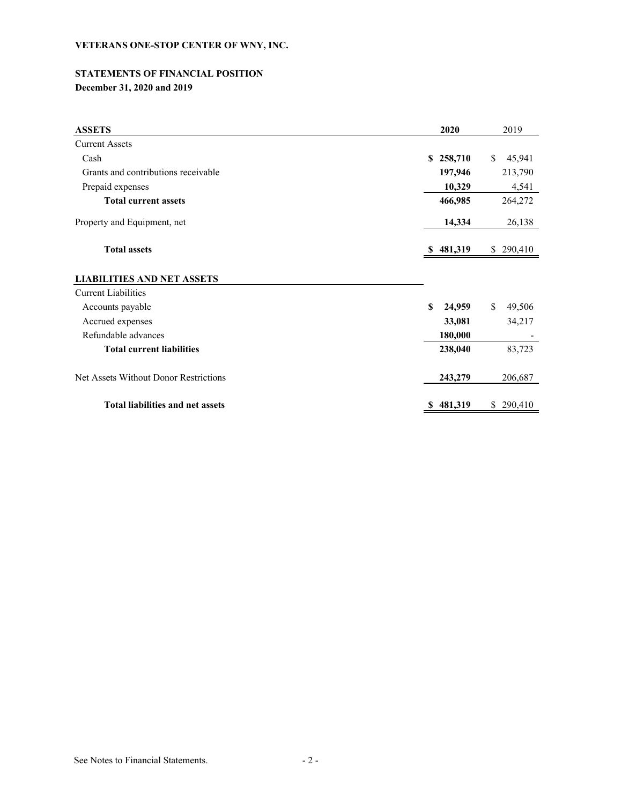# **STATEMENTS OF FINANCIAL POSITION**

**December 31, 2020 and 2019**

| <b>ASSETS</b>                           | 2020          | 2019          |
|-----------------------------------------|---------------|---------------|
| <b>Current Assets</b>                   |               |               |
| Cash                                    | S.<br>258,710 | \$<br>45,941  |
| Grants and contributions receivable     | 197,946       | 213,790       |
| Prepaid expenses                        | 10,329        | 4,541         |
| <b>Total current assets</b>             | 466,985       | 264,272       |
| Property and Equipment, net             | 14,334        | 26,138        |
| <b>Total assets</b>                     | \$481,319     | \$290,410     |
| <b>LIABILITIES AND NET ASSETS</b>       |               |               |
| <b>Current Liabilities</b>              |               |               |
| Accounts payable                        | \$<br>24,959  | \$<br>49,506  |
| Accrued expenses                        | 33,081        | 34,217        |
| Refundable advances                     | 180,000       |               |
| <b>Total current liabilities</b>        | 238,040       | 83,723        |
| Net Assets Without Donor Restrictions   | 243,279       | 206,687       |
| <b>Total liabilities and net assets</b> | 481,319       | 290,410<br>\$ |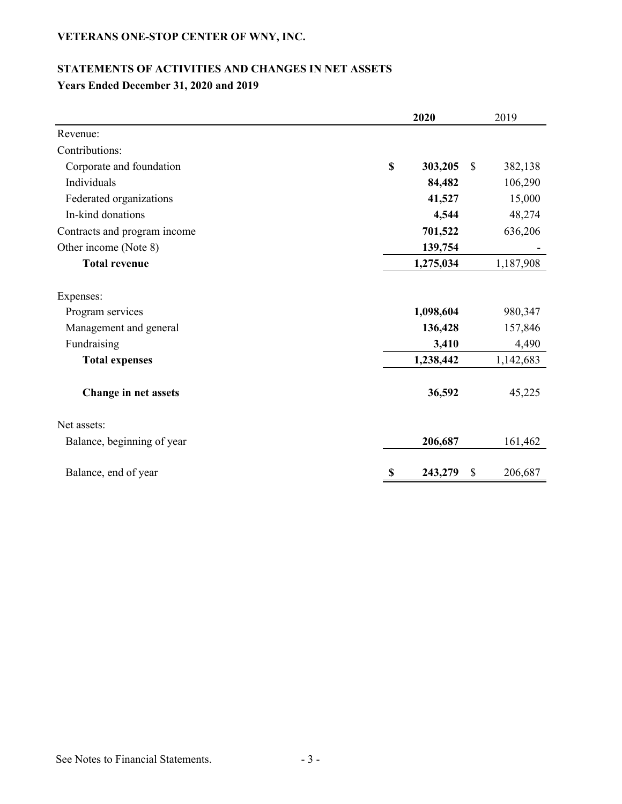## **STATEMENTS OF ACTIVITIES AND CHANGES IN NET ASSETS Years Ended December 31, 2020 and 2019**

|                                                                        |             | 2020                          |              | 2019                        |
|------------------------------------------------------------------------|-------------|-------------------------------|--------------|-----------------------------|
| Revenue:                                                               |             |                               |              |                             |
| Contributions:                                                         |             |                               |              |                             |
| Corporate and foundation                                               | $\mathbf S$ | 303,205                       | $\mathbb{S}$ | 382,138                     |
| Individuals                                                            |             | 84,482                        |              | 106,290                     |
| Federated organizations                                                |             | 41,527                        |              | 15,000                      |
| In-kind donations                                                      |             | 4,544                         |              | 48,274                      |
| Contracts and program income                                           |             | 701,522                       |              | 636,206                     |
| Other income (Note 8)                                                  |             | 139,754                       |              |                             |
| <b>Total revenue</b>                                                   |             | 1,275,034                     |              | 1,187,908                   |
| Expenses:<br>Program services<br>Management and general<br>Fundraising |             | 1,098,604<br>136,428<br>3,410 |              | 980,347<br>157,846<br>4,490 |
| <b>Total expenses</b>                                                  |             | 1,238,442                     |              | 1,142,683                   |
| Change in net assets                                                   |             | 36,592                        |              | 45,225                      |
| Net assets:                                                            |             |                               |              |                             |
| Balance, beginning of year                                             |             | 206,687                       |              | 161,462                     |
| Balance, end of year                                                   | -S          | 243,279                       | \$           | 206,687                     |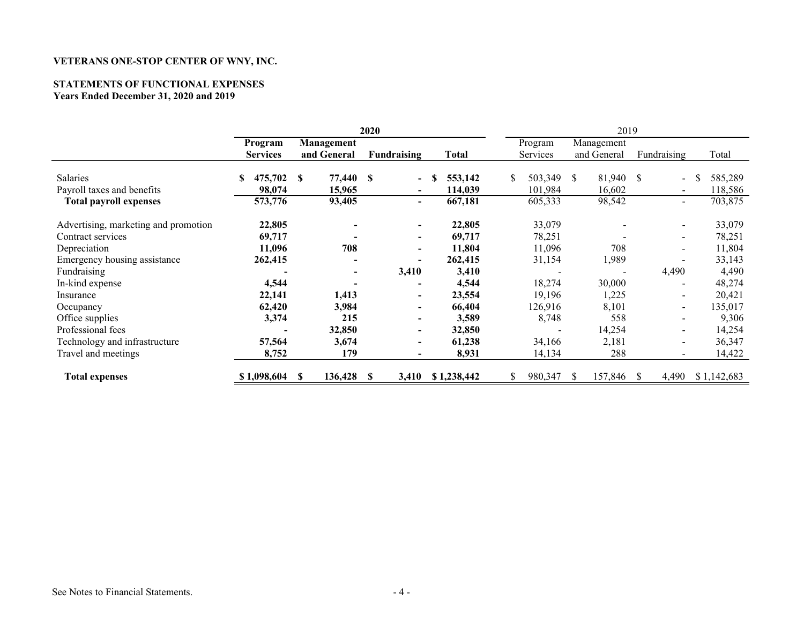## **STATEMENTS OF FUNCTIONAL EXPENSES**

**Years Ended December 31, 2020 and 2019**

|                                      | 2020            |              |                          | 2019         |               |                          |             |                       |                                    |
|--------------------------------------|-----------------|--------------|--------------------------|--------------|---------------|--------------------------|-------------|-----------------------|------------------------------------|
|                                      | Program         | Management   |                          |              | Program       |                          | Management  |                       |                                    |
|                                      | <b>Services</b> | and General  | <b>Fundraising</b>       | Total        | Services      |                          | and General | Fundraising           | Total                              |
| Salaries                             | 475,702<br>S    | 77,440<br>S  | -S<br>$\blacksquare$     | 553,142<br>S | \$<br>503,349 | <sup>S</sup>             | 81,940      | <sup>S</sup>          | 585,289                            |
| Payroll taxes and benefits           | 98,074          | 15,965       | $\blacksquare$           | 114,039      | 101,984       |                          | 16,602      |                       | 118,586<br>$\sim$                  |
| <b>Total payroll expenses</b>        | 573,776         | 93,405       | $\blacksquare$           | 667,181      | 605,333       |                          | 98,542      |                       | 703,875<br>$\blacksquare$          |
|                                      |                 |              |                          |              |               |                          |             |                       |                                    |
| Advertising, marketing and promotion | 22,805          |              | $\blacksquare$           | 22,805       | 33,079        |                          |             |                       | 33,079<br>$\blacksquare$           |
| Contract services                    | 69,717          |              | $\overline{\phantom{a}}$ | 69,717       | 78,251        |                          |             |                       | 78,251                             |
| Depreciation                         | 11,096          | 708          | $\overline{\phantom{0}}$ | 11,804       | 11,096        |                          | 708         |                       | 11,804                             |
| Emergency housing assistance         | 262,415         |              | $\blacksquare$           | 262,415      | 31,154        |                          | 1,989       |                       | 33,143                             |
| Fundraising                          |                 |              | 3,410                    | 3,410        |               |                          |             | 4,490                 | 4,490                              |
| In-kind expense                      | 4,544           |              |                          | 4,544        | 18,274        |                          | 30,000      |                       | 48,274                             |
| Insurance                            | 22,141          | 1,413        | $\overline{\phantom{a}}$ | 23,554       | 19,196        |                          | 1,225       |                       | 20,421<br>$\overline{\phantom{a}}$ |
| Occupancy                            | 62,420          | 3,984        | $\overline{\phantom{0}}$ | 66,404       | 126,916       |                          | 8,101       |                       | 135,017<br>$\sim$                  |
| Office supplies                      | 3,374           | 215          |                          | 3,589        | 8,748         |                          | 558         |                       | 9,306                              |
| Professional fees                    |                 | 32,850       | $\blacksquare$           | 32,850       |               | $\overline{\phantom{a}}$ | 14,254      |                       | 14,254<br>$\overline{\phantom{a}}$ |
| Technology and infrastructure        | 57,564          | 3,674        | $\overline{\phantom{a}}$ | 61,238       | 34,166        |                          | 2,181       |                       | 36,347<br>$\overline{\phantom{a}}$ |
| Travel and meetings                  | 8,752           | 179          |                          | 8,931        | 14,134        |                          | 288         |                       | 14,422                             |
| <b>Total expenses</b>                | \$1,098,604     | 136,428<br>S | 3,410<br>\$.             | \$1,238,442  | \$<br>980,347 | S                        | 157,846     | 4,490<br><sup>S</sup> | \$1,142,683                        |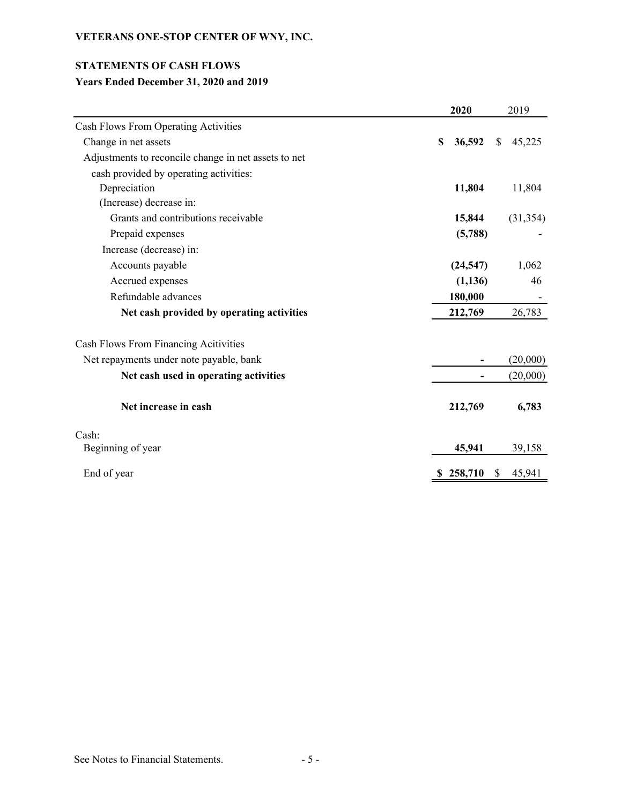## **STATEMENTS OF CASH FLOWS**

## **Years Ended December 31, 2020 and 2019**

|                                                      | 2020         | 2019                   |
|------------------------------------------------------|--------------|------------------------|
| Cash Flows From Operating Activities                 |              |                        |
| Change in net assets                                 | 36,592<br>\$ | 45,225<br><sup>S</sup> |
| Adjustments to reconcile change in net assets to net |              |                        |
| cash provided by operating activities:               |              |                        |
| Depreciation                                         | 11,804       | 11,804                 |
| (Increase) decrease in:                              |              |                        |
| Grants and contributions receivable                  | 15,844       | (31, 354)              |
| Prepaid expenses                                     | (5,788)      |                        |
| Increase (decrease) in:                              |              |                        |
| Accounts payable                                     | (24, 547)    | 1,062                  |
| Accrued expenses                                     | (1, 136)     | 46                     |
| Refundable advances                                  | 180,000      |                        |
| Net cash provided by operating activities            | 212,769      | 26,783                 |
| Cash Flows From Financing Acitivities                |              |                        |
| Net repayments under note payable, bank              |              | (20,000)               |
| Net cash used in operating activities                |              | (20,000)               |
| Net increase in cash                                 | 212,769      | 6,783                  |
| Cash:                                                |              |                        |
| Beginning of year                                    | 45,941       | 39,158                 |
| End of year                                          | 258,710<br>S | \$<br>45,941           |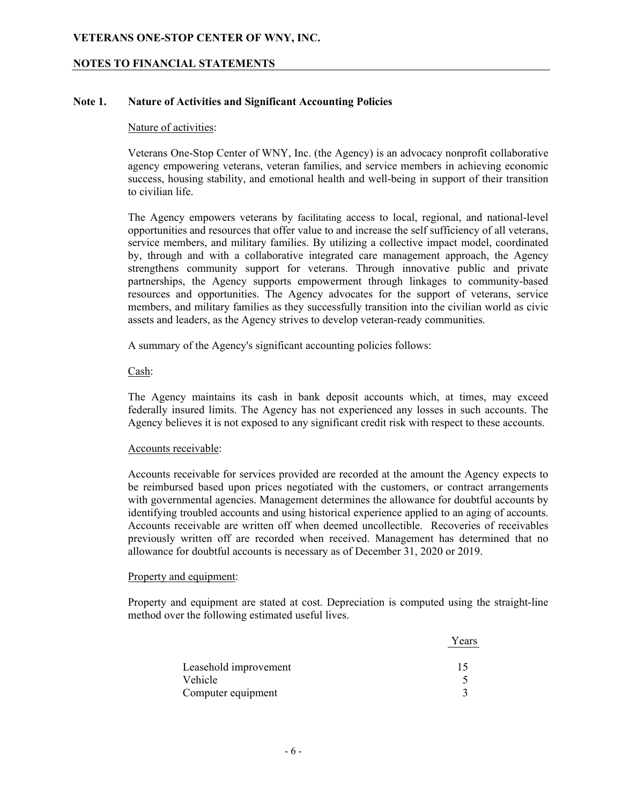#### **NOTES TO FINANCIAL STATEMENTS**

#### **Note 1. Nature of Activities and Significant Accounting Policies**

#### Nature of activities:

Veterans One-Stop Center of WNY, Inc. (the Agency) is an advocacy nonprofit collaborative agency empowering veterans, veteran families, and service members in achieving economic success, housing stability, and emotional health and well-being in support of their transition to civilian life.

The Agency empowers veterans by facilitating access to local, regional, and national-level opportunities and resources that offer value to and increase the self sufficiency of all veterans, service members, and military families. By utilizing a collective impact model, coordinated by, through and with a collaborative integrated care management approach, the Agency strengthens community support for veterans. Through innovative public and private partnerships, the Agency supports empowerment through linkages to community-based resources and opportunities. The Agency advocates for the support of veterans, service members, and military families as they successfully transition into the civilian world as civic assets and leaders, as the Agency strives to develop veteran-ready communities.

A summary of the Agency's significant accounting policies follows:

#### Cash:

The Agency maintains its cash in bank deposit accounts which, at times, may exceed federally insured limits. The Agency has not experienced any losses in such accounts. The Agency believes it is not exposed to any significant credit risk with respect to these accounts.

#### Accounts receivable:

Accounts receivable for services provided are recorded at the amount the Agency expects to be reimbursed based upon prices negotiated with the customers, or contract arrangements with governmental agencies. Management determines the allowance for doubtful accounts by identifying troubled accounts and using historical experience applied to an aging of accounts. Accounts receivable are written off when deemed uncollectible. Recoveries of receivables previously written off are recorded when received. Management has determined that no allowance for doubtful accounts is necessary as of December 31, 2020 or 2019.

#### Property and equipment:

Property and equipment are stated at cost. Depreciation is computed using the straight-line method over the following estimated useful lives.

|                       | Years |
|-----------------------|-------|
| Leasehold improvement | 15    |
| Vehicle               |       |
| Computer equipment    |       |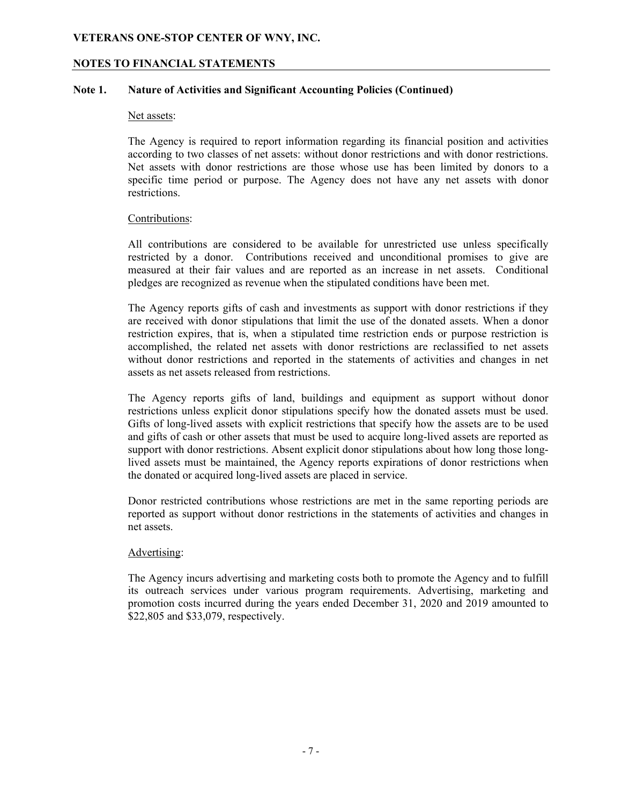#### **NOTES TO FINANCIAL STATEMENTS**

#### **Note 1. Nature of Activities and Significant Accounting Policies (Continued)**

#### Net assets:

The Agency is required to report information regarding its financial position and activities according to two classes of net assets: without donor restrictions and with donor restrictions. Net assets with donor restrictions are those whose use has been limited by donors to a specific time period or purpose. The Agency does not have any net assets with donor restrictions.

#### Contributions:

All contributions are considered to be available for unrestricted use unless specifically restricted by a donor. Contributions received and unconditional promises to give are measured at their fair values and are reported as an increase in net assets. Conditional pledges are recognized as revenue when the stipulated conditions have been met.

The Agency reports gifts of cash and investments as support with donor restrictions if they are received with donor stipulations that limit the use of the donated assets. When a donor restriction expires, that is, when a stipulated time restriction ends or purpose restriction is accomplished, the related net assets with donor restrictions are reclassified to net assets without donor restrictions and reported in the statements of activities and changes in net assets as net assets released from restrictions.

The Agency reports gifts of land, buildings and equipment as support without donor restrictions unless explicit donor stipulations specify how the donated assets must be used. Gifts of long-lived assets with explicit restrictions that specify how the assets are to be used and gifts of cash or other assets that must be used to acquire long-lived assets are reported as support with donor restrictions. Absent explicit donor stipulations about how long those longlived assets must be maintained, the Agency reports expirations of donor restrictions when the donated or acquired long-lived assets are placed in service.

Donor restricted contributions whose restrictions are met in the same reporting periods are reported as support without donor restrictions in the statements of activities and changes in net assets.

#### Advertising:

The Agency incurs advertising and marketing costs both to promote the Agency and to fulfill its outreach services under various program requirements. Advertising, marketing and promotion costs incurred during the years ended December 31, 2020 and 2019 amounted to \$22,805 and \$33,079, respectively.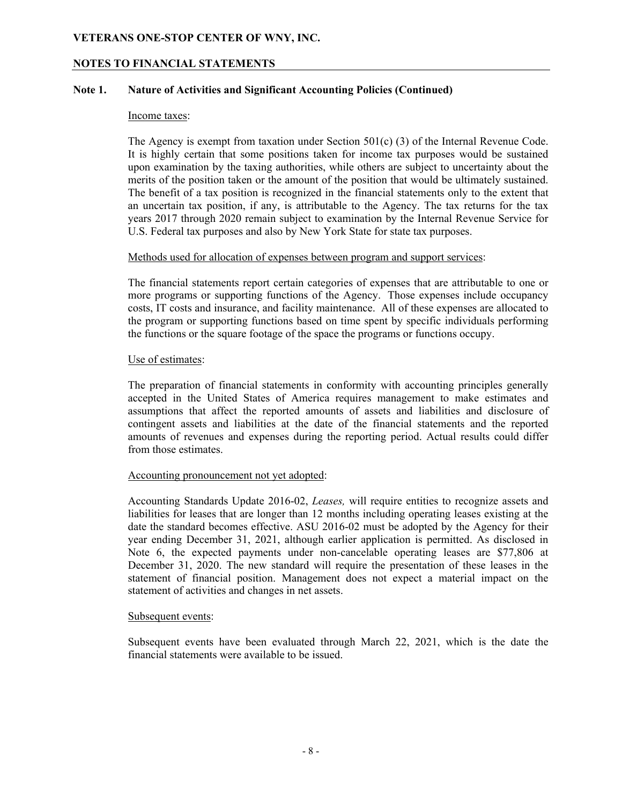#### **NOTES TO FINANCIAL STATEMENTS**

#### **Note 1. Nature of Activities and Significant Accounting Policies (Continued)**

#### Income taxes:

The Agency is exempt from taxation under Section 501(c) (3) of the Internal Revenue Code. It is highly certain that some positions taken for income tax purposes would be sustained upon examination by the taxing authorities, while others are subject to uncertainty about the merits of the position taken or the amount of the position that would be ultimately sustained. The benefit of a tax position is recognized in the financial statements only to the extent that an uncertain tax position, if any, is attributable to the Agency. The tax returns for the tax years 2017 through 2020 remain subject to examination by the Internal Revenue Service for U.S. Federal tax purposes and also by New York State for state tax purposes.

#### Methods used for allocation of expenses between program and support services:

The financial statements report certain categories of expenses that are attributable to one or more programs or supporting functions of the Agency. Those expenses include occupancy costs, IT costs and insurance, and facility maintenance. All of these expenses are allocated to the program or supporting functions based on time spent by specific individuals performing the functions or the square footage of the space the programs or functions occupy.

#### Use of estimates:

The preparation of financial statements in conformity with accounting principles generally accepted in the United States of America requires management to make estimates and assumptions that affect the reported amounts of assets and liabilities and disclosure of contingent assets and liabilities at the date of the financial statements and the reported amounts of revenues and expenses during the reporting period. Actual results could differ from those estimates.

#### Accounting pronouncement not yet adopted:

Accounting Standards Update 2016-02, *Leases,* will require entities to recognize assets and liabilities for leases that are longer than 12 months including operating leases existing at the date the standard becomes effective. ASU 2016-02 must be adopted by the Agency for their year ending December 31, 2021, although earlier application is permitted. As disclosed in Note 6, the expected payments under non-cancelable operating leases are \$77,806 at December 31, 2020. The new standard will require the presentation of these leases in the statement of financial position. Management does not expect a material impact on the statement of activities and changes in net assets.

#### Subsequent events:

Subsequent events have been evaluated through March 22, 2021, which is the date the financial statements were available to be issued.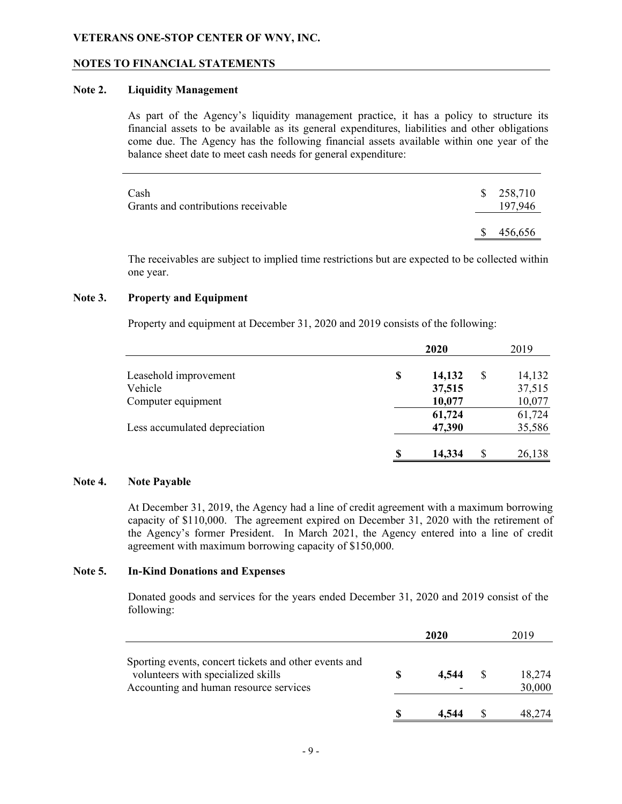#### **NOTES TO FINANCIAL STATEMENTS**

#### **Note 2. Liquidity Management**

As part of the Agency's liquidity management practice, it has a policy to structure its financial assets to be available as its general expenditures, liabilities and other obligations come due. The Agency has the following financial assets available within one year of the balance sheet date to meet cash needs for general expenditure:

| Cash<br>Grants and contributions receivable | \$258,710<br>197,946 |
|---------------------------------------------|----------------------|
|                                             | \$<br>456,656        |

The receivables are subject to implied time restrictions but are expected to be collected within one year.

#### **Note 3. Property and Equipment**

Property and equipment at December 31, 2020 and 2019 consists of the following:

|                               | 2020     |        |     | 2019   |  |
|-------------------------------|----------|--------|-----|--------|--|
| Leasehold improvement         | \$       | 14,132 |     | 14,132 |  |
| Vehicle                       |          | 37,515 |     | 37,515 |  |
| Computer equipment            |          | 10,077 |     | 10,077 |  |
|                               |          | 61,724 |     | 61,724 |  |
| Less accumulated depreciation |          | 47,390 |     | 35,586 |  |
|                               | <b>S</b> | 14,334 | \$. | 26,138 |  |

#### **Note 4. Note Payable**

At December 31, 2019, the Agency had a line of credit agreement with a maximum borrowing capacity of \$110,000. The agreement expired on December 31, 2020 with the retirement of the Agency's former President. In March 2021, the Agency entered into a line of credit agreement with maximum borrowing capacity of \$150,000.

#### **Note 5. In-Kind Donations and Expenses**

Donated goods and services for the years ended December 31, 2020 and 2019 consist of the following:

|                                                                                                                                       | 2020 |       | 2019             |  |
|---------------------------------------------------------------------------------------------------------------------------------------|------|-------|------------------|--|
| Sporting events, concert tickets and other events and<br>volunteers with specialized skills<br>Accounting and human resource services |      | 4.544 | 18,274<br>30,000 |  |
|                                                                                                                                       |      | 4.544 | 48.274           |  |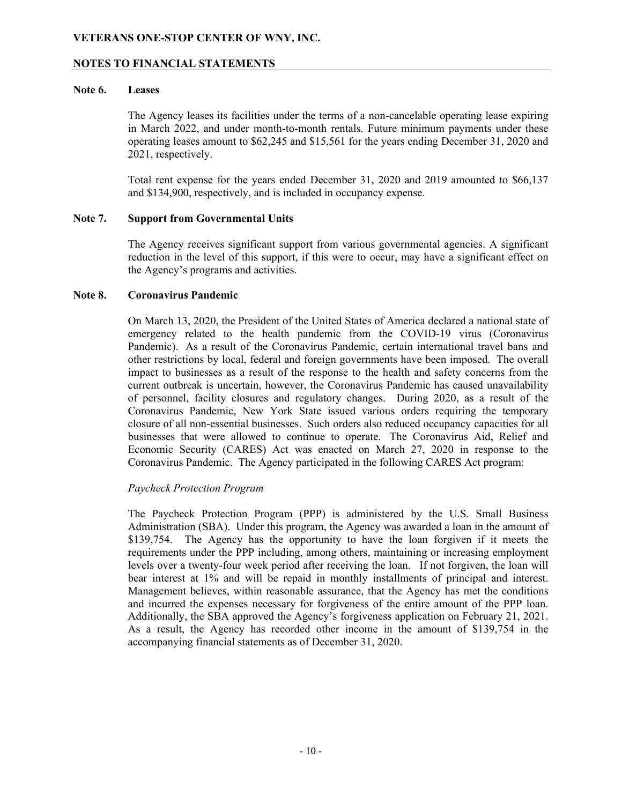#### **NOTES TO FINANCIAL STATEMENTS**

#### **Note 6. Leases**

The Agency leases its facilities under the terms of a non-cancelable operating lease expiring in March 2022, and under month-to-month rentals. Future minimum payments under these operating leases amount to \$62,245 and \$15,561 for the years ending December 31, 2020 and 2021, respectively.

Total rent expense for the years ended December 31, 2020 and 2019 amounted to \$66,137 and \$134,900, respectively, and is included in occupancy expense.

#### **Note 7. Support from Governmental Units**

The Agency receives significant support from various governmental agencies. A significant reduction in the level of this support, if this were to occur, may have a significant effect on the Agency's programs and activities.

#### **Note 8. Coronavirus Pandemic**

On March 13, 2020, the President of the United States of America declared a national state of emergency related to the health pandemic from the COVID-19 virus (Coronavirus Pandemic). As a result of the Coronavirus Pandemic, certain international travel bans and other restrictions by local, federal and foreign governments have been imposed. The overall impact to businesses as a result of the response to the health and safety concerns from the current outbreak is uncertain, however, the Coronavirus Pandemic has caused unavailability of personnel, facility closures and regulatory changes. During 2020, as a result of the Coronavirus Pandemic, New York State issued various orders requiring the temporary closure of all non-essential businesses. Such orders also reduced occupancy capacities for all businesses that were allowed to continue to operate. The Coronavirus Aid, Relief and Economic Security (CARES) Act was enacted on March 27, 2020 in response to the Coronavirus Pandemic. The Agency participated in the following CARES Act program:

#### *Paycheck Protection Program*

The Paycheck Protection Program (PPP) is administered by the U.S. Small Business Administration (SBA). Under this program, the Agency was awarded a loan in the amount of \$139,754. The Agency has the opportunity to have the loan forgiven if it meets the requirements under the PPP including, among others, maintaining or increasing employment levels over a twenty-four week period after receiving the loan. If not forgiven, the loan will bear interest at 1% and will be repaid in monthly installments of principal and interest. Management believes, within reasonable assurance, that the Agency has met the conditions and incurred the expenses necessary for forgiveness of the entire amount of the PPP loan. Additionally, the SBA approved the Agency's forgiveness application on February 21, 2021. As a result, the Agency has recorded other income in the amount of \$139,754 in the accompanying financial statements as of December 31, 2020.